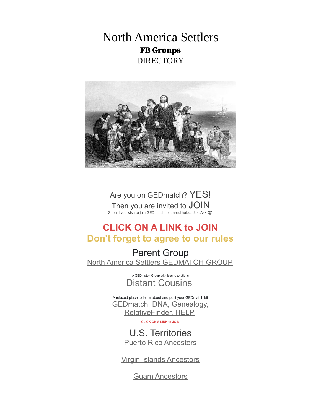## North America Settlers FB Groups DIRECTORY



Are you on GEDmatch? YES! Then you are invited to JOIN Should you wish to join GEDmatch, but need help... Just Ask ☺

## **CLICK ON A LINK to JOIN Don't forget to agree to our rules**

Parent Group [North America Settlers GEDMATCH GROUP](https://www.facebook.com/groups/AncestryGEDmatch)

> A GEDmatch Group with less restrictions [Distant Cousins](https://www.facebook.com/groups/DistantCousins)

A relaxed place to learn about and post your GEDmatch kit [GEDmatch, DNA, Genealogy,](https://www.facebook.com/groups/GEDmatch.RelativeFinder.HELP)  [RelativeFinder, HELP](https://www.facebook.com/groups/GEDmatch.RelativeFinder.HELP)

**CLICK ON A LINK to JOIN**

U.S. Territories [Puerto Rico Ancestors](https://www.facebook.com/groups/puertoricoancestors)

[Virgin Islands Ancestors](https://www.facebook.com/groups/virgin.islands.ancestors)

[Guam Ancestors](https://www.facebook.com/groups/guam.ancestors)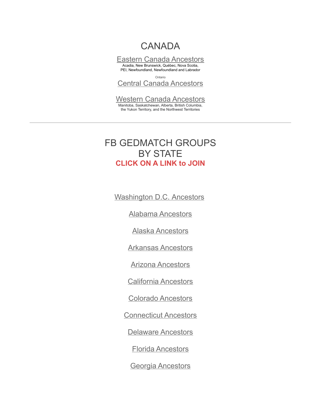# **CANADA**

[Eastern Canada Ancestors](https://www.facebook.com/groups/EasternCanadaGedmatch) Acadia, New Brunswick, Québec, Nova Scotia, PEI, Newfoundland, Newfoundland and Labrador

Ontario [Central Canada Ancestors](https://www.facebook.com/groups/centralcanadagedmatch)

[Western Canada Ancestors](https://www.facebook.com/groups/westerncanadaancestors) Manitoba, Saskatchewan, Alberta, British Columbia, the Yukon Territory, and the Northwest Territories

## FB GEDMATCH GROUPS BY STATE **CLICK ON A LINK to JOIN**

 [Washington D.C. Ancestors](https://www.facebook.com/groups/districtofcolumbiagedmatch)

[Alabama Ancestors](https://www.facebook.com/groups/alabamagedmatch)

[Alaska Ancestors](https://www.facebook.com/groups/alaskagedmatch)

[Arkansas Ancestors](https://www.facebook.com/groups/arkansasgedmatch/)

[Arizona Ancestors](https://www.facebook.com/groups/arizonagedmatch)

[California Ancestors](https://www.facebook.com/groups/californiagedmatch)

[Colorado Ancestors](https://www.facebook.com/groups/coloradogedmatch)

[Connecticut Ancestors](https://www.facebook.com/groups/connecticutgedmatch)

[Delaware Ancestors](https://www.facebook.com/groups/DelawareGedmatch)

[Florida Ancestors](https://www.facebook.com/groups/FloridaGedmatch)

[Georgia Ancestors](https://www.facebook.com/groups/georgiagedmatch)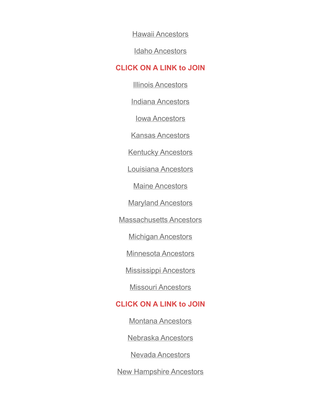[Hawaii Ancestors](https://www.facebook.com/groups/hawaiigedmatch)

[Idaho Ancestors](https://www.facebook.com/groups/idahogedmatch)

#### **CLICK ON A LINK to JOIN**

[Illinois Ancestors](https://www.facebook.com/groups/IllinoisGedmatch)

[Indiana Ancestors](https://www.facebook.com/groups/IndianaGedmatch)

[Iowa Ancestors](https://www.facebook.com/groups/iowagedmatch)

[Kansas Ancestors](https://www.facebook.com/groups/kansasgedmatch)

**[Kentucky Ancestors](https://www.facebook.com/groups/KentuckyGedmatch)** 

[Louisiana Ancestors](https://www.facebook.com/groups/LouisianaGedmatch)

[Maine Ancestors](https://www.facebook.com/groups/MaineGedmatch)

**[Maryland Ancestors](https://www.facebook.com/groups/MarylandGedmatch)** 

[Massachusetts Ancestors](https://www.facebook.com/groups/MassachusettsGedmatch)

[Michigan Ancestors](https://www.facebook.com/groups/michigangedmatch)

[Minnesota Ancestors](https://www.facebook.com/groups/minnesotagedmatch)

[Mississippi Ancestors](https://www.facebook.com/groups/MississippiGedmatch)

[Missouri Ancestors](https://www.facebook.com/groups/missourigedmatch)

### **CLICK ON A LINK to JOIN**

[Montana Ancestors](https://www.facebook.com/groups/montanagedmatch)

[Nebraska Ancestors](https://www.facebook.com/groups/nebraskagedmatch)

[Nevada Ancestors](https://www.facebook.com/groups/nevadagedmatch)

[New Hampshire Ancestors](https://www.facebook.com/groups/NewhampshireGedmatch)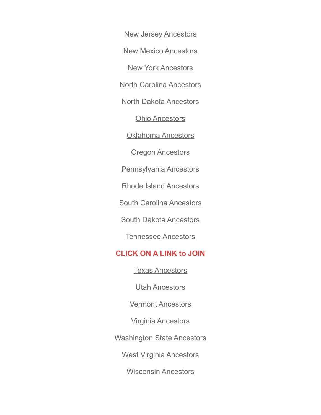[New Jersey Ancestors](https://www.facebook.com/groups/NewJerseyGedmatch)

[New Mexico Ancestors](https://www.facebook.com/groups/newmexicogedmatch)

[New York Ancestors](https://www.facebook.com/groups/NewYorkGedmatch)

[North Carolina Ancestors](https://www.facebook.com/groups/NorthCarolinaGedmatch)

[North Dakota Ancestors](https://www.facebook.com/groups/northdakotagedmatch)

[Ohio Ancestors](https://www.facebook.com/groups/OhioGedmatch)

[Oklahoma Ancestors](https://www.facebook.com/groups/oklahomagedmatch)

**[Oregon Ancestors](https://www.facebook.com/groups/oregongedmatch)** 

[Pennsylvania Ancestors](https://www.facebook.com/groups/PennsylvaniaGedmatch)

[Rhode Island Ancestors](https://www.facebook.com/groups/RhodeIslandGedmatch)

[South Carolina Ancestors](https://www.facebook.com/groups/SouthCarolinaGedmatch)

[South Dakota Ancestors](https://www.facebook.com/groups/southdakotagedmatch)

[Tennessee Ancestors](https://www.facebook.com/groups/TennesseeGedmatch)

#### **[C](https://www.facebook.com/groups/TennesseeGedmatch)LICK ON A LINK to JOIN**

[Texas Ancestors](https://www.facebook.com/groups/texasgedmatch)

[Utah Ancestors](https://www.facebook.com/groups/utahgedmatch)

[Vermont Ancestors](https://www.facebook.com/groups/VermontGedmatch)

[Virginia Ancestors](https://www.facebook.com/groups/virginiagedmatch)

[Washington State Ancestors](https://www.facebook.com/groups/washingtongedmatch)

[West Virginia Ancestors](https://www.facebook.com/groups/westvirginiagedmatch)

[Wisconsin Ancestors](https://www.facebook.com/groups/WisconsinGedmatch)